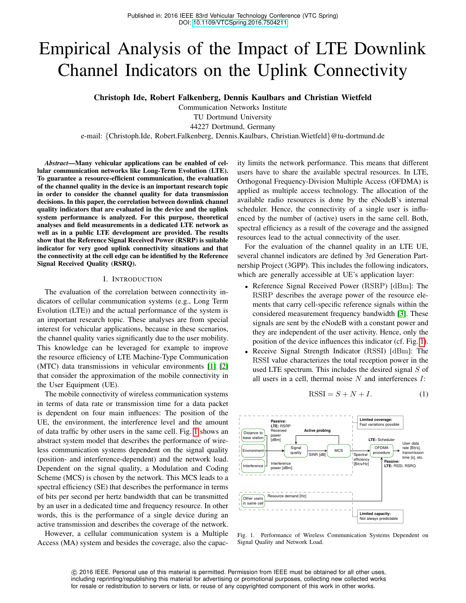# Empirical Analysis of the Impact of LTE Downlink Channel Indicators on the Uplink Connectivity

Christoph Ide, Robert Falkenberg, Dennis Kaulbars and Christian Wietfeld

Communication Networks Institute

TU Dortmund University

44227 Dortmund, Germany

e-mail: {Christoph.Ide, Robert.Falkenberg, Dennis.Kaulbars, Christian.Wietfeld}@tu-dortmund.de

*Abstract*—Many vehicular applications can be enabled of cellular communication networks like Long-Term Evolution (LTE). To guarantee a resource-efficient communication, the evaluation of the channel quality in the device is an important research topic in order to consider the channel quality for data transmission decisions. In this paper, the correlation between downlink channel quality indicators that are evaluated in the device and the uplink system performance is analyzed. For this purpose, theoretical analyses and field measurements in a dedicated LTE network as well as in a public LTE development are provided. The results show that the Reference Signal Received Power (RSRP) is suitable indicator for very good uplink connectivity situations and that the connectivity at the cell edge can be identified by the Reference Signal Received Quality (RSRQ).

#### I. INTRODUCTION

The evaluation of the correlation between connectivity indicators of cellular communication systems (e.g., Long Term Evolution (LTE)) and the actual performance of the system is an important research topic. These analyses are from special interest for vehicular applications, because in these scenarios, the channel quality varies significantly due to the user mobility. This knowledge can be leveraged for example to improve the resource efficiency of LTE Machine-Type Communication (MTC) data transmissions in vehicular environments [\[1\]](#page-4-0) [\[2\]](#page-4-1) that consider the approximation of the mobile connectivity in the User Equipment (UE).

The mobile connectivity of wireless communication systems in terms of data rate or transmission time for a data packet is dependent on four main influences: The position of the UE, the environment, the interference level and the amount of data traffic by other users in the same cell. Fig. [1](#page-0-0) shows an abstract system model that describes the performance of wireless communication systems dependent on the signal quality (position- and interference-dependent) and the network load. Dependent on the signal quality, a Modulation and Coding Scheme (MCS) is chosen by the network. This MCS leads to a spectral efficiency (SE) that describes the performance in terms of bits per second per hertz bandwidth that can be transmitted by an user in a dedicated time and frequency resource. In other words, this is the performance of a single device during an active transmission and describes the coverage of the network.

However, a cellular communication system is a Multiple Access (MA) system and besides the coverage, also the capacity limits the network performance. This means that different users have to share the available spectral resources. In LTE, Orthogonal Frequency-Division Multiple Access (OFDMA) is applied as multiple access technology. The allocation of the available radio resources is done by the eNodeB's internal scheduler. Hence, the connectivity of a single user is influenced by the number of (active) users in the same cell. Both, spectral efficiency as a result of the coverage and the assigned resources lead to the actual connectivity of the user.

For the evaluation of the channel quality in an LTE UE, several channel indicators are defined by 3rd Generation Partnership Project (3GPP). This includes the following indicators, which are generally accessible at UE's application layer:

- Reference Signal Received Power (RSRP) [dBm]: The RSRP describes the average power of the resource elements that carry cell-specific reference signals within the considered measurement frequency bandwidth [\[3\]](#page-4-2). These signals are sent by the eNodeB with a constant power and they are independent of the user activity. Hence, only the position of the device influences this indicator (cf. Fig. [1\)](#page-0-0).
- Receive Signal Strength Indicator (RSSI) [dBm]: The RSSI value characterizes the total reception power in the used LTE spectrum. This includes the desired signal  $S$  of all users in a cell, thermal noise  $N$  and interferences  $I$ :

$$
RSSI = S + N + I.
$$
 (1)



<span id="page-0-0"></span>Fig. 1. Performance of Wireless Communication Systems Dependent on Signal Quality and Network Load.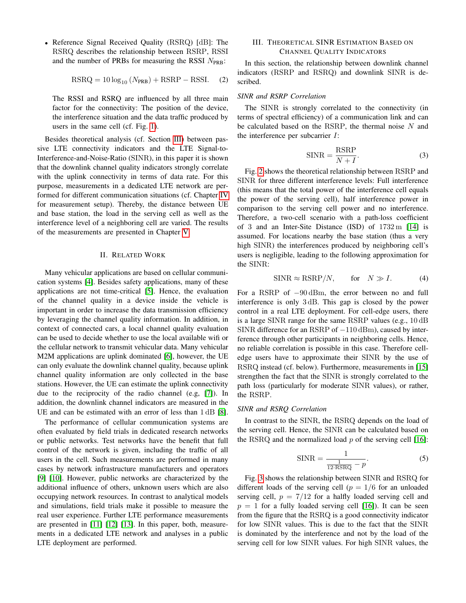• Reference Signal Received Quality (RSRQ) [dB]: The RSRQ describes the relationship between RSRP, RSSI and the number of PRBs for measuring the RSSI  $N_{\text{PRB}}$ :

$$
RSRQ = 10 \log_{10} (N_{PRB}) + RSRP - RSSI. \quad (2)
$$

The RSSI and RSRQ are influenced by all three main factor for the connectivity: The position of the device, the interference situation and the data traffic produced by users in the same cell (cf. Fig. [1\)](#page-0-0).

Besides theoretical analysis (cf. Section [III\)](#page-1-0) between passive LTE connectivity indicators and the LTE Signal-to-Interference-and-Noise-Ratio (SINR), in this paper it is shown that the downlink channel quality indicators strongly correlate with the uplink connectivity in terms of data rate. For this purpose, measurements in a dedicated LTE network are performed for different communication situations (cf. Chapter [IV](#page-2-0) for measurement setup). Thereby, the distance between UE and base station, the load in the serving cell as well as the interference level of a neighboring cell are varied. The results of the measurements are presented in Chapter [V.](#page-3-0)

### II. RELATED WORK

Many vehicular applications are based on cellular communication systems [\[4\]](#page-4-3). Besides safety applications, many of these applications are not time-critical [\[5\]](#page-4-4). Hence, the evaluation of the channel quality in a device inside the vehicle is important in order to increase the data transmission efficiency by leveraging the channel quality information. In addition, in context of connected cars, a local channel quality evaluation can be used to decide whether to use the local available wifi or the cellular network to transmit vehicular data. Many vehicular M2M applications are uplink dominated [\[6\]](#page-4-5), however, the UE can only evaluate the downlink channel quality, because uplink channel quality information are only collected in the base stations. However, the UE can estimate the uplink connectivity due to the reciprocity of the radio channel (e.g, [\[7\]](#page-4-6)). In addition, the downlink channel indicators are measured in the UE and can be estimated with an error of less than  $1 \text{ dB}$  [\[8\]](#page-4-7).

The performance of cellular communication systems are often evaluated by field trials in dedicated research networks or public networks. Test networks have the benefit that full control of the network is given, including the traffic of all users in the cell. Such measurements are performed in many cases by network infrastructure manufacturers and operators [\[9\]](#page-4-8) [\[10\]](#page-4-9). However, public networks are characterized by the additional influence of others, unknown users which are also occupying network resources. In contrast to analytical models and simulations, field trials make it possible to measure the real user experience. Further LTE performance measurements are presented in [\[11\]](#page-4-10) [\[12\]](#page-4-11) [\[13\]](#page-4-12). In this paper, both, measurements in a dedicated LTE network and analyses in a public LTE deployment are performed.

# <span id="page-1-0"></span>III. THEORETICAL SINR ESTIMATION BASED ON CHANNEL QUALITY INDICATORS

<span id="page-1-1"></span>In this section, the relationship between downlink channel indicators (RSRP and RSRQ) and downlink SINR is described.

## *SINR and RSRP Correlation*

The SINR is strongly correlated to the connectivity (in terms of spectral efficiency) of a communication link and can be calculated based on the RSRP, the thermal noise  $N$  and the interference per subcarrier I:

$$
SINR = \frac{RSRP}{N+I}.
$$
 (3)

Fig. [2](#page-2-1) shows the theoretical relationship between RSRP and SINR for three different interference levels: Full interference (this means that the total power of the interference cell equals the power of the serving cell), half interference power in comparison to the serving cell power and no interference. Therefore, a two-cell scenario with a path-loss coefficient of 3 and an Inter-Site Distance (ISD) of 1732 m [\[14\]](#page-4-13) is assumed. For locations nearby the base station (thus a very high SINR) the interferences produced by neighboring cell's users is negligible, leading to the following approximation for the SINR:

$$
SINR \approx RSRP/N, \qquad \text{for} \quad N \gg I. \tag{4}
$$

For a RSRP of −90 dBm, the error between no and full interference is only 3 dB. This gap is closed by the power control in a real LTE deployment. For cell-edge users, there is a large SINR range for the same RSRP values (e.g., 10 dB SINR difference for an RSRP of −110 dBm), caused by interference through other participants in neighboring cells. Hence, no reliable correlation is possible in this case. Therefore celledge users have to approximate their SINR by the use of RSRQ instead (cf. below). Furthermore, measurements in [\[15\]](#page-4-14) strengthen the fact that the SINR is strongly correlated to the path loss (particularly for moderate SINR values), or rather, the RSRP.

## *SINR and RSRQ Correlation*

In contrast to the SINR, the RSRQ depends on the load of the serving cell. Hence, the SINR can be calculated based on the RSRQ and the normalized load  $p$  of the serving cell [\[16\]](#page-4-15):

$$
\text{SINR} = \frac{1}{\frac{1}{12 \cdot \text{RSRQ}} - p}.
$$
\n<sup>(5)</sup>

Fig. [3](#page-2-2) shows the relationship between SINR and RSRQ for different loads of the serving cell ( $p = 1/6$  for an unloaded serving cell,  $p = 7/12$  for a halfly loaded serving cell and  $p = 1$  for a fully loaded serving cell [\[16\]](#page-4-15)). It can be seen from the figure that the RSRQ is a good connectivity indicator for low SINR values. This is due to the fact that the SINR is dominated by the interference and not by the load of the serving cell for low SINR values. For high SINR values, the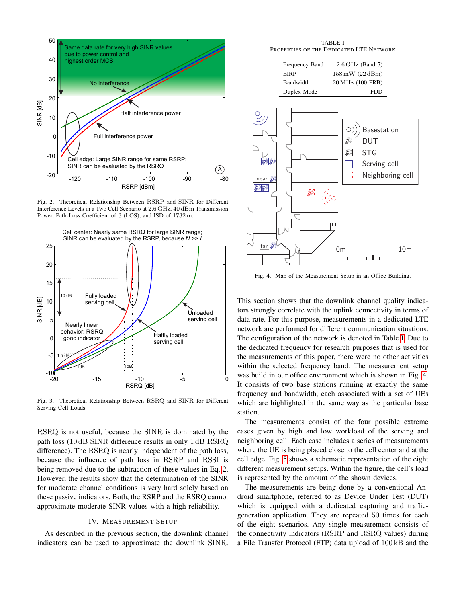

<span id="page-2-1"></span>Fig. 2. Theoretical Relationship Between RSRP and SINR for Different Interference Levels in a Two Cell Scenario at 2.6 GHz, 40 dBm Transmission Power, Path-Loss Coefficient of 3 (LOS), and ISD of 1732 m.



<span id="page-2-2"></span>Fig. 3. Theoretical Relationship Between RSRQ and SINR for Different Serving Cell Loads.

RSRQ is not useful, because the SINR is dominated by the path loss (10 dB SINR difference results in only 1 dB RSRQ difference). The RSRQ is nearly independent of the path loss, because the influence of path loss in RSRP and RSSI is being removed due to the subtraction of these values in Eq. [2.](#page-1-1) However, the results show that the determination of the SINR for moderate channel conditions is very hard solely based on these passive indicators. Both, the RSRP and the RSRQ cannot approximate moderate SINR values with a high reliability.

#### IV. MEASUREMENT SETUP

<span id="page-2-0"></span>As described in the previous section, the downlink channel indicators can be used to approximate the downlink SINR.

TABLE I PROPERTIES OF THE DEDICATED LTE NETWORK

<span id="page-2-3"></span>

<span id="page-2-4"></span>Fig. 4. Map of the Measurement Setup in an Office Building.

This section shows that the downlink channel quality indicators strongly correlate with the uplink connectivity in terms of data rate. For this purpose, measurements in a dedicated LTE network are performed for different communication situations. The configuration of the network is denoted in Table [I.](#page-2-3) Due to the dedicated frequency for research purposes that is used for the measurements of this paper, there were no other activities within the selected frequency band. The measurement setup was build in our office environment which is shown in Fig. [4.](#page-2-4) It consists of two base stations running at exactly the same frequency and bandwidth, each associated with a set of UEs which are highlighted in the same way as the particular base station.

The measurements consist of the four possible extreme cases given by high and low workload of the serving and neighboring cell. Each case includes a series of measurements where the UE is being placed close to the cell center and at the cell edge. Fig. [5](#page-3-1) shows a schematic representation of the eight different measurement setups. Within the figure, the cell's load is represented by the amount of the shown devices.

The measurements are being done by a conventional Android smartphone, referred to as Device Under Test (DUT) which is equipped with a dedicated capturing and trafficgeneration application. They are repeated 50 times for each of the eight scenarios. Any single measurement consists of the connectivity indicators (RSRP and RSRQ values) during a File Transfer Protocol (FTP) data upload of 100 kB and the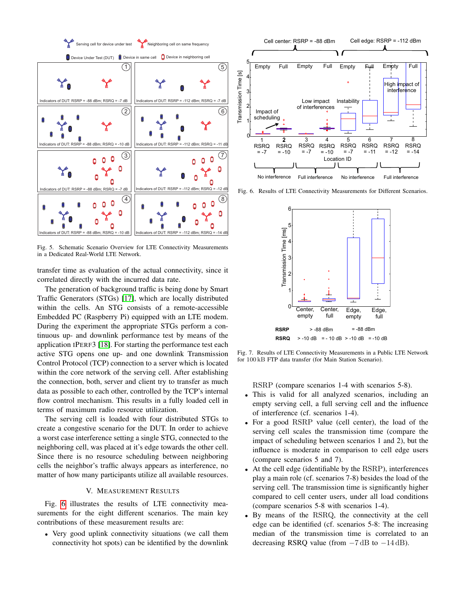

<span id="page-3-1"></span>Fig. 5. Schematic Scenario Overview for LTE Connectivity Measurements in a Dedicated Real-World LTE Network.

transfer time as evaluation of the actual connectivity, since it correlated directly with the incurred data rate.

The generation of background traffic is being done by Smart Traffic Generators (STGs) [\[17\]](#page-4-16), which are locally distributed within the cells. An STG consists of a remote-accessible Embedded PC (Raspberry Pi) equipped with an LTE modem. During the experiment the appropriate STGs perform a continuous up- and downlink performance test by means of the application IPERF3 [\[18\]](#page-4-17). For starting the performance test each active STG opens one up- and one downlink Transmission Control Protocol (TCP) connection to a server which is located within the core network of the serving cell. After establishing the connection, both, server and client try to transfer as much data as possible to each other, controlled by the TCP's internal flow control mechanism. This results in a fully loaded cell in terms of maximum radio resource utilization.

The serving cell is loaded with four distributed STGs to create a congestive scenario for the DUT. In order to achieve a worst case interference setting a single STG, connected to the neighboring cell, was placed at it's edge towards the other cell. Since there is no resource scheduling between neighboring cells the neighbor's traffic always appears as interference, no matter of how many participants utilize all available resources.

# V. MEASUREMENT RESULTS

<span id="page-3-0"></span>Fig. [6](#page-3-2) illustrates the results of LTE connectivity measurements for the eight different scenarios. The main key contributions of these measurement results are:

• Very good uplink connectivity situations (we call them connectivity hot spots) can be identified by the downlink



Fig. 6. Results of LTE Connectivity Measurements for Different Scenarios.

<span id="page-3-2"></span>

<span id="page-3-3"></span>Fig. 7. Results of LTE Connectivity Measurements in a Public LTE Network for 100 kB FTP data transfer (for Main Station Scenario).

RSRP (compare scenarios 1-4 with scenarios 5-8).

- This is valid for all analyzed scenarios, including an empty serving cell, a full serving cell and the influence of interference (cf. scenarios 1-4).
- For a good RSRP value (cell center), the load of the serving cell scales the transmission time (compare the impact of scheduling between scenarios 1 and 2), but the influence is moderate in comparison to cell edge users (compare scenarios 5 and 7).
- At the cell edge (identifiable by the RSRP), interferences play a main role (cf. scenarios 7-8) besides the load of the serving cell. The transmission time is significantly higher compared to cell center users, under all load conditions (compare scenarios 5-8 with scenarios 1-4).
- By means of the RSRQ, the connectivity at the cell edge can be identified (cf. scenarios 5-8: The increasing median of the transmission time is correlated to an decreasing RSRO value (from  $-7 \text{ dB}$  to  $-14 \text{ dB}$ ).